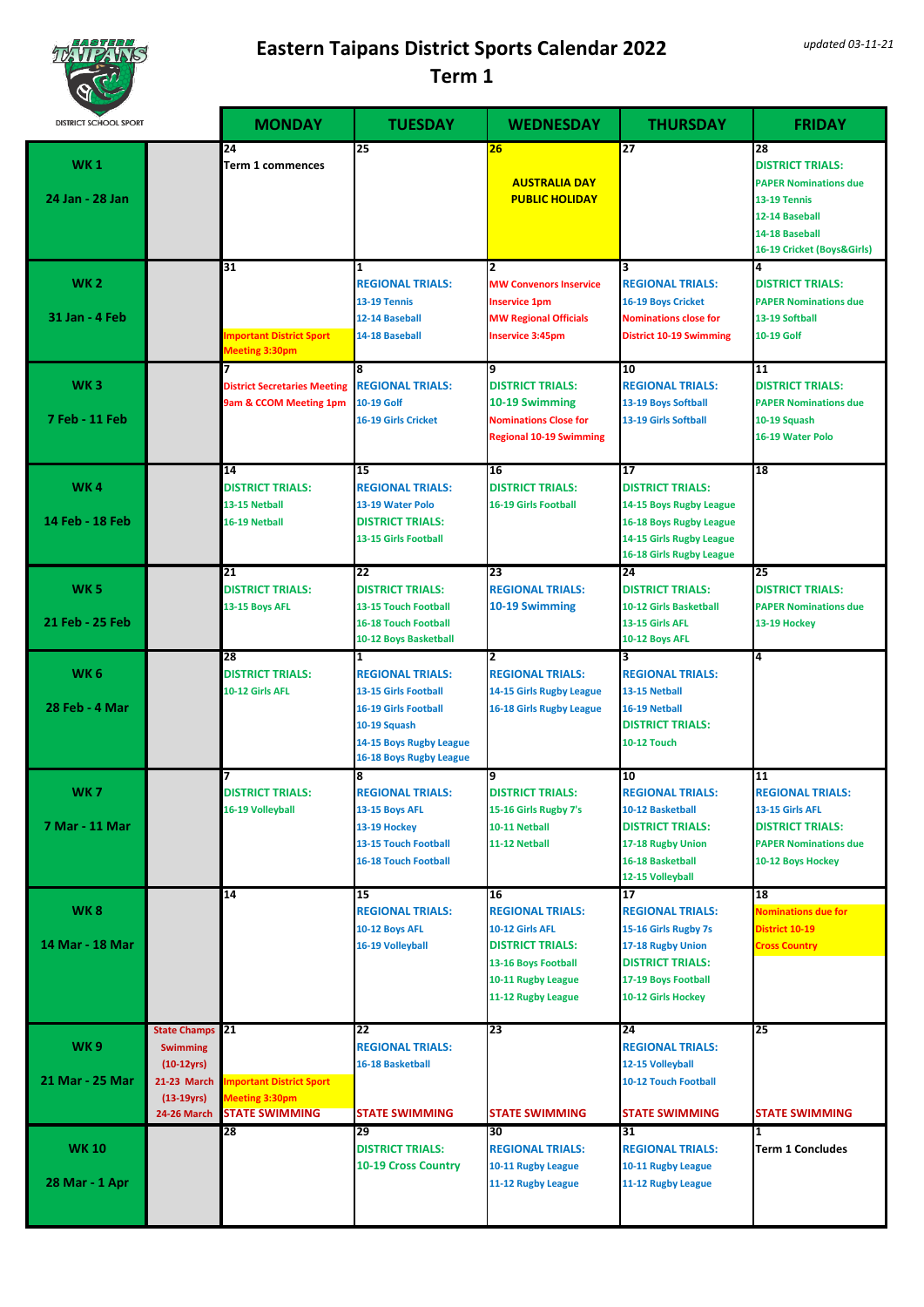

| <b>NGC</b>                        |                                                                                                    |                                                                              |                                                                                                                                                                      |                                                                                                                                                |                                                                                                                                                          |                                                                                                                                                 |
|-----------------------------------|----------------------------------------------------------------------------------------------------|------------------------------------------------------------------------------|----------------------------------------------------------------------------------------------------------------------------------------------------------------------|------------------------------------------------------------------------------------------------------------------------------------------------|----------------------------------------------------------------------------------------------------------------------------------------------------------|-------------------------------------------------------------------------------------------------------------------------------------------------|
| <b>DISTRICT SCHOOL SPORT</b>      |                                                                                                    | <b>MONDAY</b>                                                                | <b>TUESDAY</b>                                                                                                                                                       | <b>WEDNESDAY</b>                                                                                                                               | <b>THURSDAY</b>                                                                                                                                          | <b>FRIDAY</b>                                                                                                                                   |
| <b>WK1</b><br>24 Jan - 28 Jan     |                                                                                                    | $\overline{24}$<br>Term 1 commences                                          | $\overline{25}$                                                                                                                                                      | 26<br><b>AUSTRALIA DAY</b><br><b>PUBLIC HOLIDAY</b>                                                                                            | $\overline{27}$                                                                                                                                          | 28<br><b>DISTRICT TRIALS:</b><br><b>PAPER Nominations due</b><br>13-19 Tennis<br>12-14 Baseball<br>14-18 Baseball<br>16-19 Cricket (Boys&Girls) |
| <b>WK 2</b><br>31 Jan - 4 Feb     |                                                                                                    | $\overline{31}$<br><b>Important District Sport</b><br>Meeting 3:30pm         | $\mathbf{1}$<br><b>REGIONAL TRIALS:</b><br>13-19 Tennis<br>12-14 Baseball<br>14-18 Baseball                                                                          | $\overline{2}$<br><b>MW Convenors Inservice</b><br><b>Inservice 1pm</b><br><b>MW Regional Officials</b><br><b>Inservice 3:45pm</b>             | 3<br><b>REGIONAL TRIALS:</b><br><b>16-19 Boys Cricket</b><br><b>Nominations close for</b><br><b>District 10-19 Swimming</b>                              | 4<br><b>DISTRICT TRIALS:</b><br><b>PAPER Nominations due</b><br>13-19 Softball<br>10-19 Golf                                                    |
| WK <sub>3</sub><br>7 Feb - 11 Feb |                                                                                                    | <b>District Secretaries Meeting</b><br>9am & CCOM Meeting 1pm                | 8<br><b>REGIONAL TRIALS:</b><br>10-19 Golf<br>16-19 Girls Cricket                                                                                                    | q<br><b>DISTRICT TRIALS:</b><br>10-19 Swimming<br><b>Nominations Close for</b><br><b>Regional 10-19 Swimming</b>                               | 10<br><b>REGIONAL TRIALS:</b><br>13-19 Boys Softball<br>13-19 Girls Softball                                                                             | 11<br><b>DISTRICT TRIALS:</b><br><b>PAPER Nominations due</b><br>10-19 Squash<br>16-19 Water Polo                                               |
| WK4<br>14 Feb - 18 Feb            |                                                                                                    | $\overline{14}$<br><b>DISTRICT TRIALS:</b><br>13-15 Netball<br>16-19 Netball | $\overline{15}$<br><b>REGIONAL TRIALS:</b><br>13-19 Water Polo<br><b>DISTRICT TRIALS:</b><br>13-15 Girls Football                                                    | 16<br><b>DISTRICT TRIALS:</b><br><b>16-19 Girls Football</b>                                                                                   | $\overline{17}$<br><b>DISTRICT TRIALS:</b><br>14-15 Boys Rugby League<br>16-18 Boys Rugby League<br>14-15 Girls Rugby League<br>16-18 Girls Rugby League | 18                                                                                                                                              |
| <b>WK 5</b><br>21 Feb - 25 Feb    |                                                                                                    | $\overline{21}$<br><b>DISTRICT TRIALS:</b><br>13-15 Boys AFL                 | $\overline{22}$<br><b>DISTRICT TRIALS:</b><br>13-15 Touch Football<br><b>16-18 Touch Football</b><br>10-12 Boys Basketball                                           | 23<br><b>REGIONAL TRIALS:</b><br>10-19 Swimming                                                                                                | 24<br><b>DISTRICT TRIALS:</b><br>10-12 Girls Basketball<br>13-15 Girls AFL<br>10-12 Boys AFL                                                             | 25<br><b>DISTRICT TRIALS:</b><br><b>PAPER Nominations due</b><br>13-19 Hockey                                                                   |
| WK <sub>6</sub><br>28 Feb - 4 Mar |                                                                                                    | 28<br><b>DISTRICT TRIALS:</b><br>10-12 Girls AFL                             | $\mathbf{1}$<br><b>REGIONAL TRIALS:</b><br>13-15 Girls Football<br><b>16-19 Girls Football</b><br>10-19 Squash<br>14-15 Boys Rugby League<br>16-18 Boys Rugby League | $\overline{2}$<br><b>REGIONAL TRIALS:</b><br>14-15 Girls Rugby League<br>16-18 Girls Rugby League                                              | 3<br><b>REGIONAL TRIALS:</b><br>13-15 Netball<br>16-19 Netball<br><b>DISTRICT TRIALS:</b><br><b>10-12 Touch</b>                                          | 4                                                                                                                                               |
| WK 7<br>7 Mar - 11 Mar            |                                                                                                    | DISTRICT TRIALS:<br>16-19 Volleyball                                         | 8<br><b>REGIONAL TRIALS:</b><br>13-15 Boys AFL<br>13-19 Hockey<br>13-15 Touch Football<br><b>16-18 Touch Football</b>                                                | 9<br><b>DISTRICT TRIALS:</b><br>15-16 Girls Rugby 7's<br>10-11 Netball<br>11-12 Netball                                                        | 10<br><b>REGIONAL TRIALS:</b><br>10-12 Basketball<br><b>DISTRICT TRIALS:</b><br>17-18 Rugby Union<br>16-18 Basketball<br>12-15 Volleyball                | 11<br><b>REGIONAL TRIALS:</b><br>13-15 Girls AFL<br><b>DISTRICT TRIALS:</b><br><b>PAPER Nominations due</b><br>10-12 Boys Hockey                |
| WK8<br>14 Mar - 18 Mar            |                                                                                                    | $\overline{14}$                                                              | 15<br><b>REGIONAL TRIALS:</b><br>10-12 Boys AFL<br>16-19 Volleyball                                                                                                  | 16<br><b>REGIONAL TRIALS:</b><br>10-12 Girls AFL<br><b>DISTRICT TRIALS:</b><br>13-16 Boys Football<br>10-11 Rugby League<br>11-12 Rugby League | 17<br><b>REGIONAL TRIALS:</b><br>15-16 Girls Rugby 7s<br>17-18 Rugby Union<br>DISTRICT TRIALS:<br>17-19 Boys Football<br>10-12 Girls Hockey              | 18<br><b>Nominations due for</b><br>District 10-19<br><b>Cross Country</b>                                                                      |
| <b>WK9</b><br>21 Mar - 25 Mar     | <b>State Champs</b><br><b>Swimming</b><br>$(10-12\gamma rs)$<br><b>21-23 March</b><br>$(13-19yrs)$ | 21<br>mportant District Sport<br>Meeting 3:30pm                              | 22<br><b>REGIONAL TRIALS:</b><br>16-18 Basketball                                                                                                                    | 23<br><b>STATE SWIMMING</b>                                                                                                                    | 24<br><b>REGIONAL TRIALS:</b><br>12-15 Volleyball<br>10-12 Touch Football                                                                                | 25<br><b>STATE SWIMMING</b>                                                                                                                     |
| <b>WK10</b><br>28 Mar - 1 Apr     | 24-26 March                                                                                        | <b>STATE SWIMMING</b><br>28                                                  | <b>STATE SWIMMING</b><br>29<br><b>DISTRICT TRIALS:</b><br>10-19 Cross Country                                                                                        | 30<br><b>REGIONAL TRIALS:</b><br>10-11 Rugby League<br>11-12 Rugby League                                                                      | <b>STATE SWIMMING</b><br>31<br><b>REGIONAL TRIALS:</b><br>10-11 Rugby League<br>11-12 Rugby League                                                       | 11<br><b>Term 1 Concludes</b>                                                                                                                   |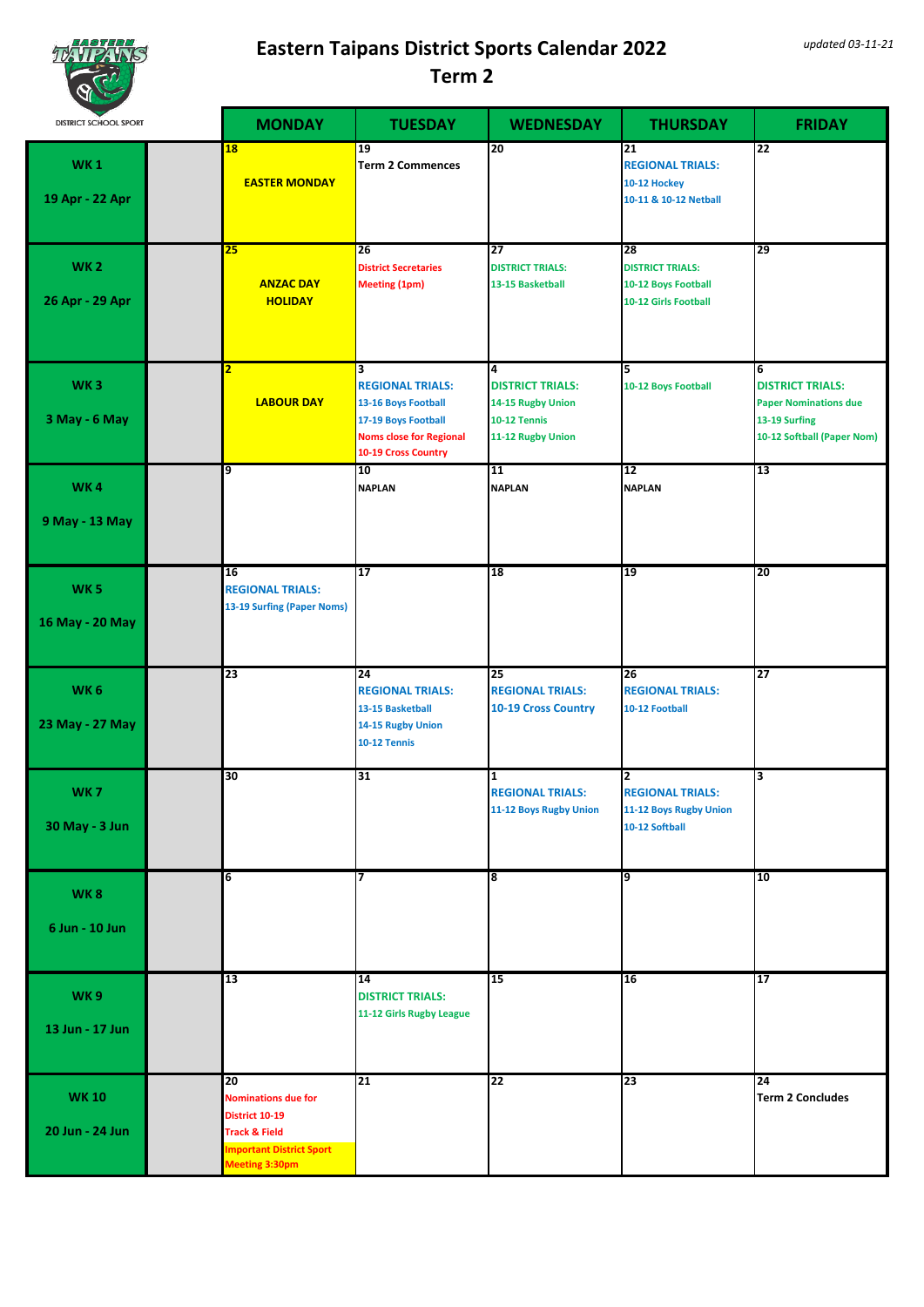

| <b>NGC 27</b><br><b>DISTRICT SCHOOL SPORT</b> |    | <b>MONDAY</b>                                                                                                                 | <b>TUESDAY</b>                                                                                                                                            | <b>WEDNESDAY</b>                                                                       | <b>THURSDAY</b>                                                                           | <b>FRIDAY</b>                                                                                               |
|-----------------------------------------------|----|-------------------------------------------------------------------------------------------------------------------------------|-----------------------------------------------------------------------------------------------------------------------------------------------------------|----------------------------------------------------------------------------------------|-------------------------------------------------------------------------------------------|-------------------------------------------------------------------------------------------------------------|
| <b>WK1</b><br>19 Apr - 22 Apr                 | 18 | <b>EASTER MONDAY</b>                                                                                                          | 19<br><b>Term 2 Commences</b>                                                                                                                             | 20                                                                                     | 21<br><b>REGIONAL TRIALS:</b><br>10-12 Hockey<br>10-11 & 10-12 Netball                    | 22                                                                                                          |
| <b>WK2</b><br>26 Apr - 29 Apr                 | 25 | <b>ANZAC DAY</b><br><b>HOLIDAY</b>                                                                                            | $\overline{26}$<br><b>District Secretaries</b><br><b>Meeting (1pm)</b>                                                                                    | 27<br><b>DISTRICT TRIALS:</b><br>13-15 Basketball                                      | $\overline{28}$<br><b>DISTRICT TRIALS:</b><br>10-12 Boys Football<br>10-12 Girls Football | 29                                                                                                          |
| WK <sub>3</sub><br>3 May - 6 May              |    | <b>LABOUR DAY</b>                                                                                                             | $\overline{\mathbf{3}}$<br><b>REGIONAL TRIALS:</b><br>13-16 Boys Football<br>17-19 Boys Football<br><b>Noms close for Regional</b><br>10-19 Cross Country | 4<br><b>DISTRICT TRIALS:</b><br>14-15 Rugby Union<br>10-12 Tennis<br>11-12 Rugby Union | 5<br>10-12 Boys Football                                                                  | 6<br><b>DISTRICT TRIALS:</b><br><b>Paper Nominations due</b><br>13-19 Surfing<br>10-12 Softball (Paper Nom) |
| <b>WK4</b><br>9 May - 13 May                  | 9  |                                                                                                                               | 10<br><b>NAPLAN</b>                                                                                                                                       | 11<br><b>NAPLAN</b>                                                                    | 12<br><b>NAPLAN</b>                                                                       | 13                                                                                                          |
| <b>WK5</b><br>16 May - 20 May                 | 16 | <b>REGIONAL TRIALS:</b><br>13-19 Surfing (Paper Noms)                                                                         | 17                                                                                                                                                        | 18                                                                                     | 19                                                                                        | 20                                                                                                          |
| WK <sub>6</sub><br>23 May - 27 May            | 23 |                                                                                                                               | 24<br><b>REGIONAL TRIALS:</b><br>13-15 Basketball<br>14-15 Rugby Union<br>10-12 Tennis                                                                    | 25<br><b>REGIONAL TRIALS:</b><br><b>10-19 Cross Country</b>                            | 26<br><b>REGIONAL TRIALS:</b><br>10-12 Football                                           | 27                                                                                                          |
| <b>WK7</b><br><b>30 May - 3 Jun</b>           | 30 |                                                                                                                               | 31                                                                                                                                                        | 1<br><b>REGIONAL TRIALS:</b><br>11-12 Boys Rugby Union                                 | 2<br><b>REGIONAL TRIALS:</b><br>11-12 Boys Rugby Union<br>10-12 Softball                  | з                                                                                                           |
| <b>WK8</b><br>6 Jun - 10 Jun                  | 6  |                                                                                                                               | 7                                                                                                                                                         | 18                                                                                     | 9                                                                                         | 10                                                                                                          |
| WK9<br>13 Jun - 17 Jun                        | 13 |                                                                                                                               | $\overline{14}$<br><b>DISTRICT TRIALS:</b><br>11-12 Girls Rugby League                                                                                    | 15                                                                                     | 16                                                                                        | 17                                                                                                          |
| <b>WK10</b><br>20 Jun - 24 Jun                | 20 | <b>Nominations due for</b><br>District 10-19<br><b>Track &amp; Field</b><br><b>Important District Sport</b><br>Meeting 3:30pm | 21                                                                                                                                                        | 22                                                                                     | 23                                                                                        | 24<br><b>Term 2 Concludes</b>                                                                               |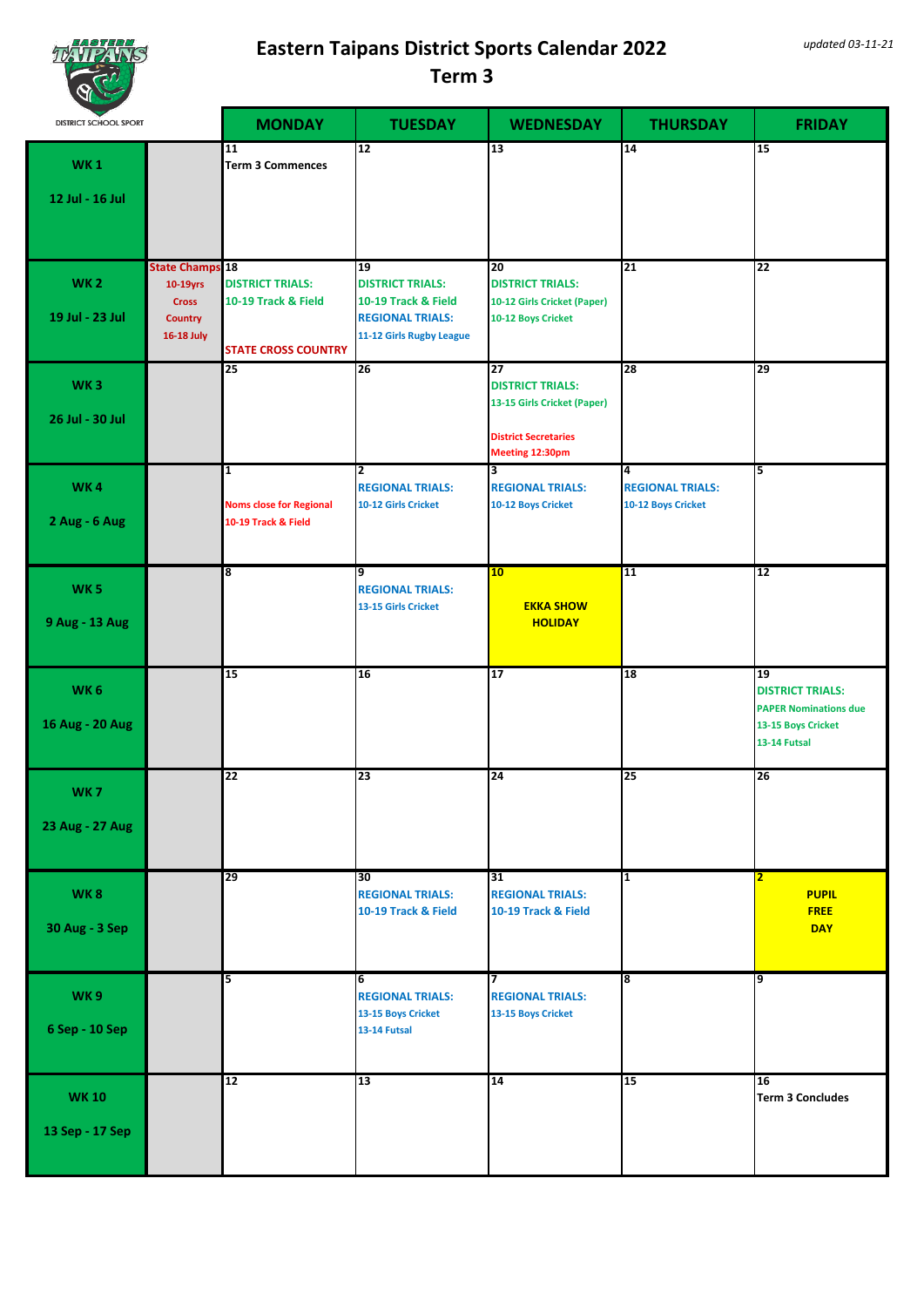

| NG 5                               |                                                                                    |                                                                              |                                                                                                             |                                                                                                                |                                                    |                                                                                                     |
|------------------------------------|------------------------------------------------------------------------------------|------------------------------------------------------------------------------|-------------------------------------------------------------------------------------------------------------|----------------------------------------------------------------------------------------------------------------|----------------------------------------------------|-----------------------------------------------------------------------------------------------------|
| <b>DISTRICT SCHOOL SPORT</b>       |                                                                                    | <b>MONDAY</b>                                                                | <b>TUESDAY</b>                                                                                              | <b>WEDNESDAY</b>                                                                                               | <b>THURSDAY</b>                                    | <b>FRIDAY</b>                                                                                       |
| <b>WK1</b><br>12 Jul - 16 Jul      |                                                                                    | 11<br><b>Term 3 Commences</b>                                                | 12                                                                                                          | 13                                                                                                             | 14                                                 | 15                                                                                                  |
| <b>WK2</b><br>19 Jul - 23 Jul      | <b>State Champs 18</b><br>10-19yrs<br><b>Cross</b><br><b>Country</b><br>16-18 July | <b>DISTRICT TRIALS:</b><br>10-19 Track & Field<br><b>STATE CROSS COUNTRY</b> | 19<br><b>DISTRICT TRIALS:</b><br>10-19 Track & Field<br><b>REGIONAL TRIALS:</b><br>11-12 Girls Rugby League | 20<br><b>DISTRICT TRIALS:</b><br>10-12 Girls Cricket (Paper)<br>10-12 Boys Cricket                             | $\overline{21}$                                    | 22                                                                                                  |
| <b>WK3</b><br>26 Jul - 30 Jul      |                                                                                    | 25                                                                           | 26                                                                                                          | 27<br><b>DISTRICT TRIALS:</b><br>13-15 Girls Cricket (Paper)<br><b>District Secretaries</b><br>Meeting 12:30pm | 28                                                 | 29                                                                                                  |
| <b>WK4</b><br>2 Aug - 6 Aug        |                                                                                    | $\mathbf{1}$<br><b>Noms close for Regional</b><br>10-19 Track & Field        | 2<br><b>REGIONAL TRIALS:</b><br>10-12 Girls Cricket                                                         | 3<br><b>REGIONAL TRIALS:</b><br>10-12 Boys Cricket                                                             | 4<br><b>REGIONAL TRIALS:</b><br>10-12 Boys Cricket | 5                                                                                                   |
| <b>WK5</b><br>9 Aug - 13 Aug       |                                                                                    | 8                                                                            | 9<br><b>REGIONAL TRIALS:</b><br>13-15 Girls Cricket                                                         | 10<br><b>EKKA SHOW</b><br><b>HOLIDAY</b>                                                                       | 11                                                 | 12                                                                                                  |
| WK <sub>6</sub><br>16 Aug - 20 Aug |                                                                                    | 15                                                                           | 16                                                                                                          | 17                                                                                                             | 18                                                 | 19<br><b>DISTRICT TRIALS:</b><br><b>PAPER Nominations due</b><br>13-15 Boys Cricket<br>13-14 Futsal |
| WK <sub>7</sub><br>23 Aug - 27 Aug |                                                                                    | 22                                                                           | 23                                                                                                          | 24                                                                                                             | $\overline{25}$                                    | 26                                                                                                  |
| WK8<br>30 Aug - 3 Sep              |                                                                                    | 29                                                                           | 30<br><b>REGIONAL TRIALS:</b><br>10-19 Track & Field                                                        | 31<br><b>REGIONAL TRIALS:</b><br>10-19 Track & Field                                                           | $\overline{1}$                                     | $\overline{\mathbf{2}}$<br><b>PUPIL</b><br><b>FREE</b><br><b>DAY</b>                                |
| <b>WK9</b><br>6 Sep - 10 Sep       |                                                                                    | 5                                                                            | 6<br><b>REGIONAL TRIALS:</b><br>13-15 Boys Cricket<br>13-14 Futsal                                          | 17<br><b>REGIONAL TRIALS:</b><br>13-15 Boys Cricket                                                            | $\overline{\mathbf{8}}$                            | ٥                                                                                                   |
| <b>WK10</b><br>13 Sep - 17 Sep     |                                                                                    | 12                                                                           | 13                                                                                                          | $\overline{14}$                                                                                                | 15                                                 | 16<br><b>Term 3 Concludes</b>                                                                       |